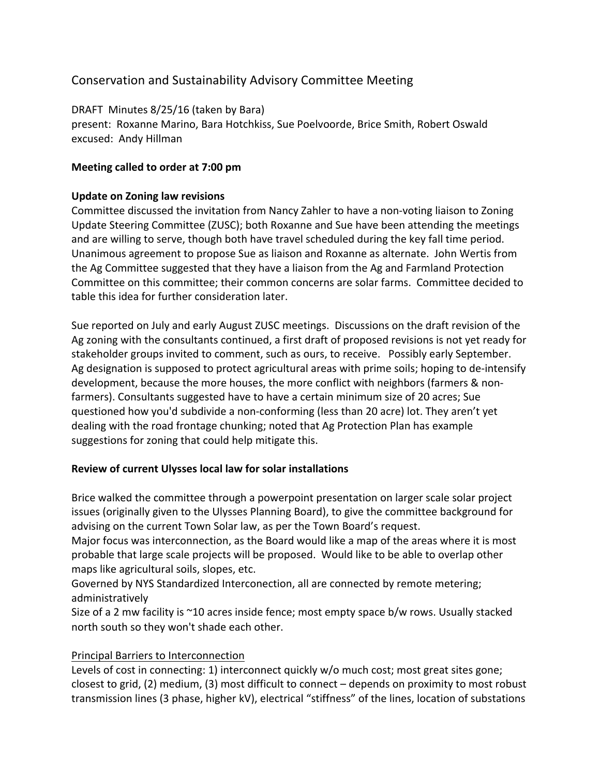# Conservation and Sustainability Advisory Committee Meeting

DRAFT Minutes 8/25/16 (taken by Bara) present: Roxanne Marino, Bara Hotchkiss, Sue Poelvoorde, Brice Smith, Robert Oswald excused: Andy Hillman

### **Meeting called to order at 7:00 pm**

#### **Update on Zoning law revisions**

Committee discussed the invitation from Nancy Zahler to have a non-voting liaison to Zoning Update Steering Committee (ZUSC); both Roxanne and Sue have been attending the meetings and are willing to serve, though both have travel scheduled during the key fall time period. Unanimous agreement to propose Sue as liaison and Roxanne as alternate. John Wertis from the Ag Committee suggested that they have a liaison from the Ag and Farmland Protection Committee on this committee; their common concerns are solar farms. Committee decided to table this idea for further consideration later.

Sue reported on July and early August ZUSC meetings. Discussions on the draft revision of the Ag zoning with the consultants continued, a first draft of proposed revisions is not yet ready for stakeholder groups invited to comment, such as ours, to receive. Possibly early September. Ag designation is supposed to protect agricultural areas with prime soils; hoping to de-intensify development, because the more houses, the more conflict with neighbors (farmers & nonfarmers). Consultants suggested have to have a certain minimum size of 20 acres; Sue questioned how you'd subdivide a non-conforming (less than 20 acre) lot. They aren't yet dealing with the road frontage chunking; noted that Ag Protection Plan has example suggestions for zoning that could help mitigate this.

## **Review of current Ulysses local law for solar installations**

Brice walked the committee through a powerpoint presentation on larger scale solar project issues (originally given to the Ulysses Planning Board), to give the committee background for advising on the current Town Solar law, as per the Town Board's request.

Major focus was interconnection, as the Board would like a map of the areas where it is most probable that large scale projects will be proposed. Would like to be able to overlap other maps like agricultural soils, slopes, etc.

Governed by NYS Standardized Interconection, all are connected by remote metering; administratively

Size of a 2 mw facility is  $\sim$ 10 acres inside fence; most empty space b/w rows. Usually stacked north south so they won't shade each other.

## Principal Barriers to Interconnection

Levels of cost in connecting: 1) interconnect quickly w/o much cost; most great sites gone; closest to grid,  $(2)$  medium,  $(3)$  most difficult to connect – depends on proximity to most robust transmission lines (3 phase, higher kV), electrical "stiffness" of the lines, location of substations